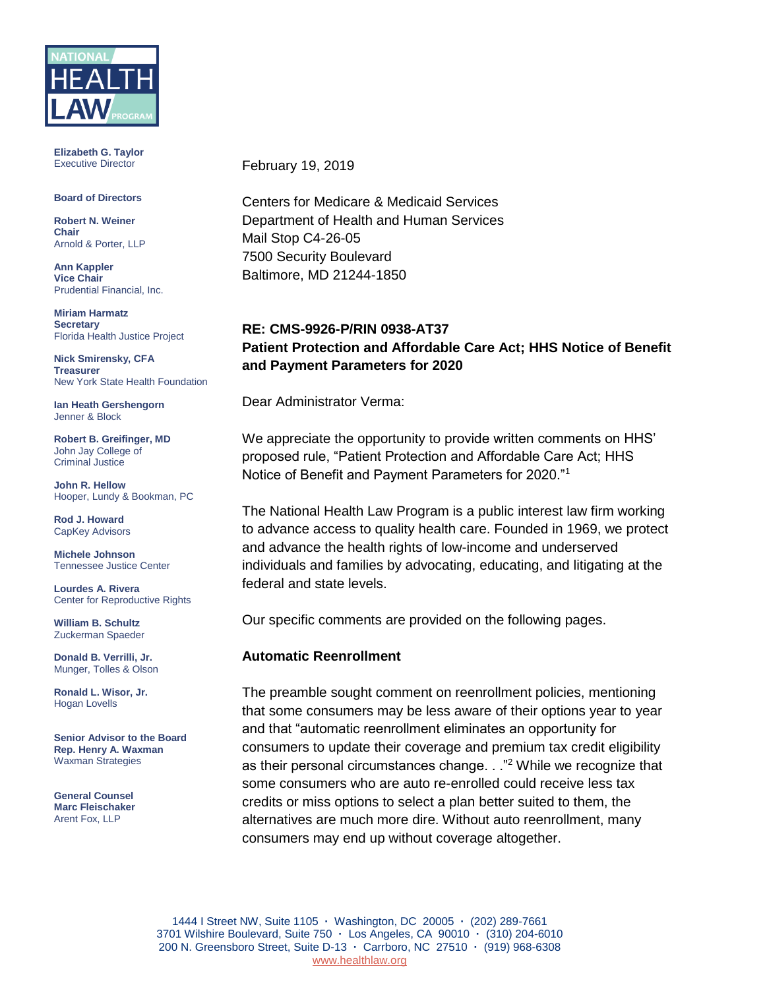

**Elizabeth G. Taylor** Executive Director

#### **Board of Directors**

**Robert N. Weiner Chair** Arnold & Porter, LLP

**Ann Kappler Vice Chair** Prudential Financial, Inc.

**Miriam Harmatz Secretary** Florida Health Justice Project

**Nick Smirensky, CFA Treasurer** New York State Health Foundation

**Ian Heath Gershengorn** Jenner & Block

**Robert B. Greifinger, MD** John Jay College of Criminal Justice

**John R. Hellow** Hooper, Lundy & Bookman, PC

**Rod J. Howard** CapKey Advisors

**Michele Johnson** Tennessee Justice Center

**Lourdes A. Rivera** Center for Reproductive Rights

**William B. Schultz** Zuckerman Spaeder

**Donald B. Verrilli, Jr.**  Munger, Tolles & Olson

**Ronald L. Wisor, Jr.** Hogan Lovells

**Senior Advisor to the Board Rep. Henry A. Waxman** Waxman Strategies

**General Counsel Marc Fleischaker** Arent Fox, LLP

February 19, 2019

Centers for Medicare & Medicaid Services Department of Health and Human Services Mail Stop C4-26-05 7500 Security Boulevard Baltimore, MD 21244-1850

## **RE: CMS-9926-P/RIN 0938-AT37 Patient Protection and Affordable Care Act; HHS Notice of Benefit and Payment Parameters for 2020**

Dear Administrator Verma:

We appreciate the opportunity to provide written comments on HHS' proposed rule, "Patient Protection and Affordable Care Act; HHS Notice of Benefit and Payment Parameters for 2020."<sup>1</sup>

The National Health Law Program is a public interest law firm working to advance access to quality health care. Founded in 1969, we protect and advance the health rights of low-income and underserved individuals and families by advocating, educating, and litigating at the federal and state levels.

Our specific comments are provided on the following pages.

#### **Automatic Reenrollment**

The preamble sought comment on reenrollment policies, mentioning that some consumers may be less aware of their options year to year and that "automatic reenrollment eliminates an opportunity for consumers to update their coverage and premium tax credit eligibility as their personal circumstances change. . . "<sup>2</sup> While we recognize that some consumers who are auto re-enrolled could receive less tax credits or miss options to select a plan better suited to them, the alternatives are much more dire. Without auto reenrollment, many consumers may end up without coverage altogether.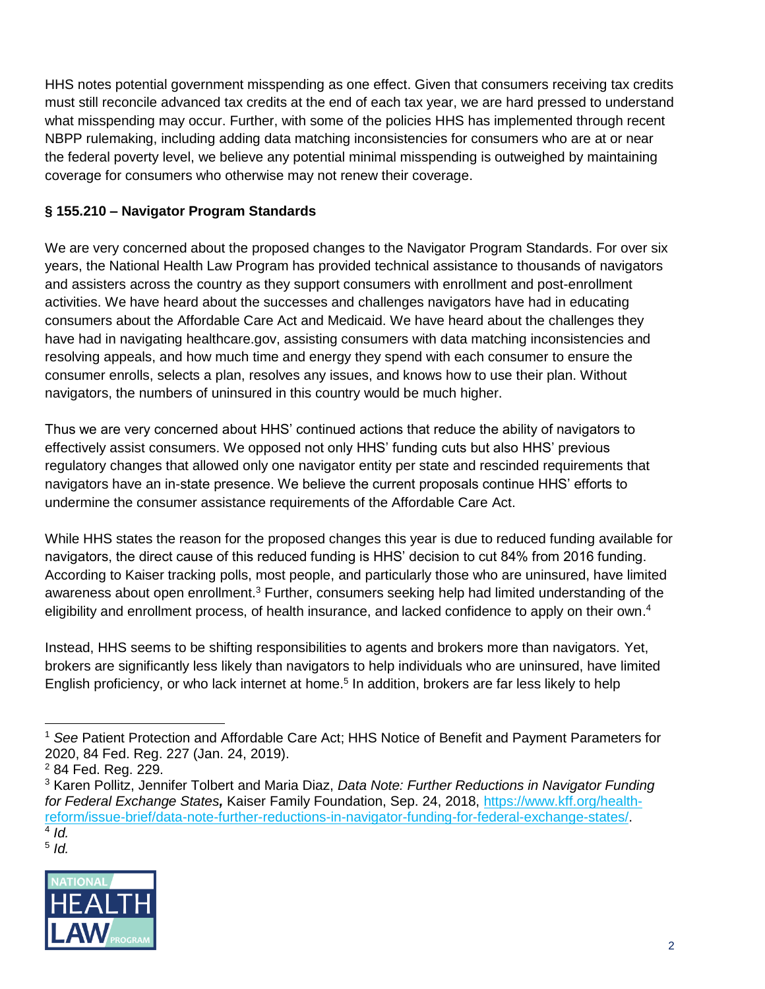HHS notes potential government misspending as one effect. Given that consumers receiving tax credits must still reconcile advanced tax credits at the end of each tax year, we are hard pressed to understand what misspending may occur. Further, with some of the policies HHS has implemented through recent NBPP rulemaking, including adding data matching inconsistencies for consumers who are at or near the federal poverty level, we believe any potential minimal misspending is outweighed by maintaining coverage for consumers who otherwise may not renew their coverage.

# **§ 155.210 – Navigator Program Standards**

We are very concerned about the proposed changes to the Navigator Program Standards. For over six years, the National Health Law Program has provided technical assistance to thousands of navigators and assisters across the country as they support consumers with enrollment and post-enrollment activities. We have heard about the successes and challenges navigators have had in educating consumers about the Affordable Care Act and Medicaid. We have heard about the challenges they have had in navigating healthcare.gov, assisting consumers with data matching inconsistencies and resolving appeals, and how much time and energy they spend with each consumer to ensure the consumer enrolls, selects a plan, resolves any issues, and knows how to use their plan. Without navigators, the numbers of uninsured in this country would be much higher.

Thus we are very concerned about HHS' continued actions that reduce the ability of navigators to effectively assist consumers. We opposed not only HHS' funding cuts but also HHS' previous regulatory changes that allowed only one navigator entity per state and rescinded requirements that navigators have an in-state presence. We believe the current proposals continue HHS' efforts to undermine the consumer assistance requirements of the Affordable Care Act.

While HHS states the reason for the proposed changes this year is due to reduced funding available for navigators, the direct cause of this reduced funding is HHS' decision to cut 84% from 2016 funding. According to Kaiser tracking polls, most people, and particularly those who are uninsured, have limited awareness about open enrollment.<sup>3</sup> Further, consumers seeking help had limited understanding of the eligibility and enrollment process, of health insurance, and lacked confidence to apply on their own.<sup>4</sup>

Instead, HHS seems to be shifting responsibilities to agents and brokers more than navigators. Yet, brokers are significantly less likely than navigators to help individuals who are uninsured, have limited English proficiency, or who lack internet at home.<sup>5</sup> In addition, brokers are far less likely to help

<sup>4</sup> *Id.* 5 *Id.*



 <sup>1</sup> *See* Patient Protection and Affordable Care Act; HHS Notice of Benefit and Payment Parameters for 2020, 84 Fed. Reg. 227 (Jan. 24, 2019).

<sup>2</sup> 84 Fed. Reg. 229.

<sup>3</sup> Karen Pollitz, Jennifer Tolbert and Maria Diaz, *Data Note: Further Reductions in Navigator Funding for Federal Exchange States,* Kaiser Family Foundation, Sep. 24, 2018, [https://www.kff.org/health](https://www.kff.org/health-reform/issue-brief/data-note-further-reductions-in-navigator-funding-for-federal-marketplace-states/)[reform/issue-brief/data-note-further-reductions-in-navigator-funding-for-federal-exchange-states/.](https://www.kff.org/health-reform/issue-brief/data-note-further-reductions-in-navigator-funding-for-federal-marketplace-states/)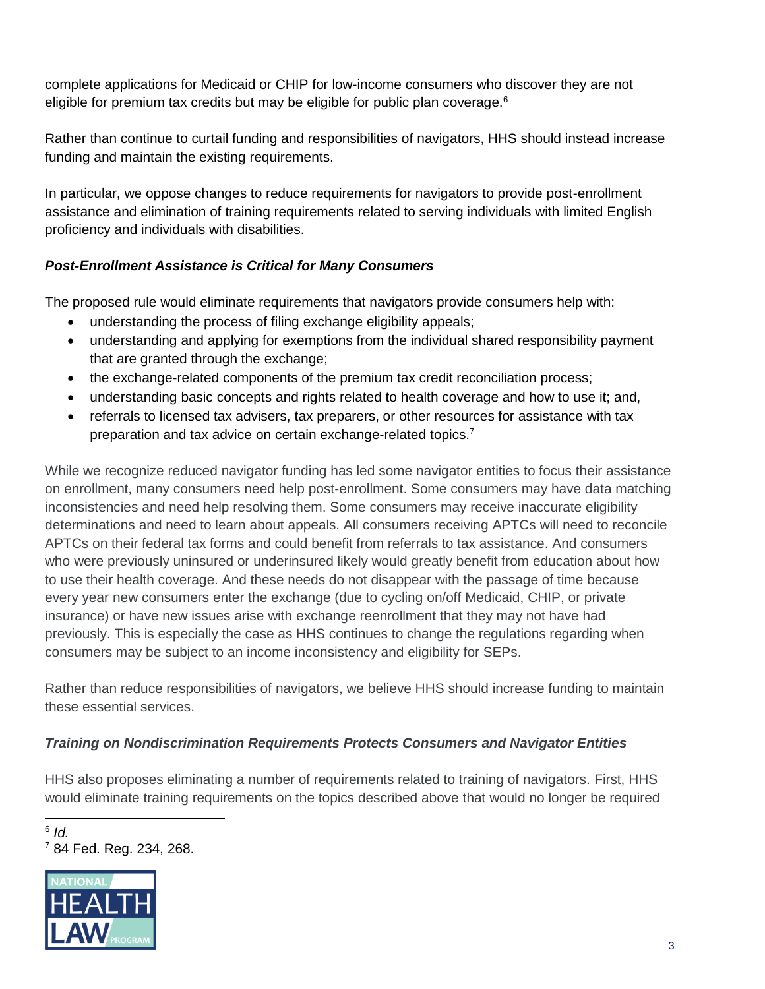complete applications for Medicaid or CHIP for low-income consumers who discover they are not eligible for premium tax credits but may be eligible for public plan coverage.<sup>6</sup>

Rather than continue to curtail funding and responsibilities of navigators, HHS should instead increase funding and maintain the existing requirements.

In particular, we oppose changes to reduce requirements for navigators to provide post-enrollment assistance and elimination of training requirements related to serving individuals with limited English proficiency and individuals with disabilities.

# *Post-Enrollment Assistance is Critical for Many Consumers*

The proposed rule would eliminate requirements that navigators provide consumers help with:

- understanding the process of filing exchange eligibility appeals;
- understanding and applying for exemptions from the individual shared responsibility payment that are granted through the exchange;
- the exchange-related components of the premium tax credit reconciliation process;
- understanding basic concepts and rights related to health coverage and how to use it; and,
- referrals to licensed tax advisers, tax preparers, or other resources for assistance with tax preparation and tax advice on certain exchange-related topics.<sup>7</sup>

While we recognize reduced navigator funding has led some navigator entities to focus their assistance on enrollment, many consumers need help post-enrollment. Some consumers may have data matching inconsistencies and need help resolving them. Some consumers may receive inaccurate eligibility determinations and need to learn about appeals. All consumers receiving APTCs will need to reconcile APTCs on their federal tax forms and could benefit from referrals to tax assistance. And consumers who were previously uninsured or underinsured likely would greatly benefit from education about how to use their health coverage. And these needs do not disappear with the passage of time because every year new consumers enter the exchange (due to cycling on/off Medicaid, CHIP, or private insurance) or have new issues arise with exchange reenrollment that they may not have had previously. This is especially the case as HHS continues to change the regulations regarding when consumers may be subject to an income inconsistency and eligibility for SEPs.

Rather than reduce responsibilities of navigators, we believe HHS should increase funding to maintain these essential services.

# *Training on Nondiscrimination Requirements Protects Consumers and Navigator Entities*

HHS also proposes eliminating a number of requirements related to training of navigators. First, HHS would eliminate training requirements on the topics described above that would no longer be required

<sup>6</sup> *Id.* <sup>7</sup> 84 Fed. Reg. 234, 268.



 $\overline{a}$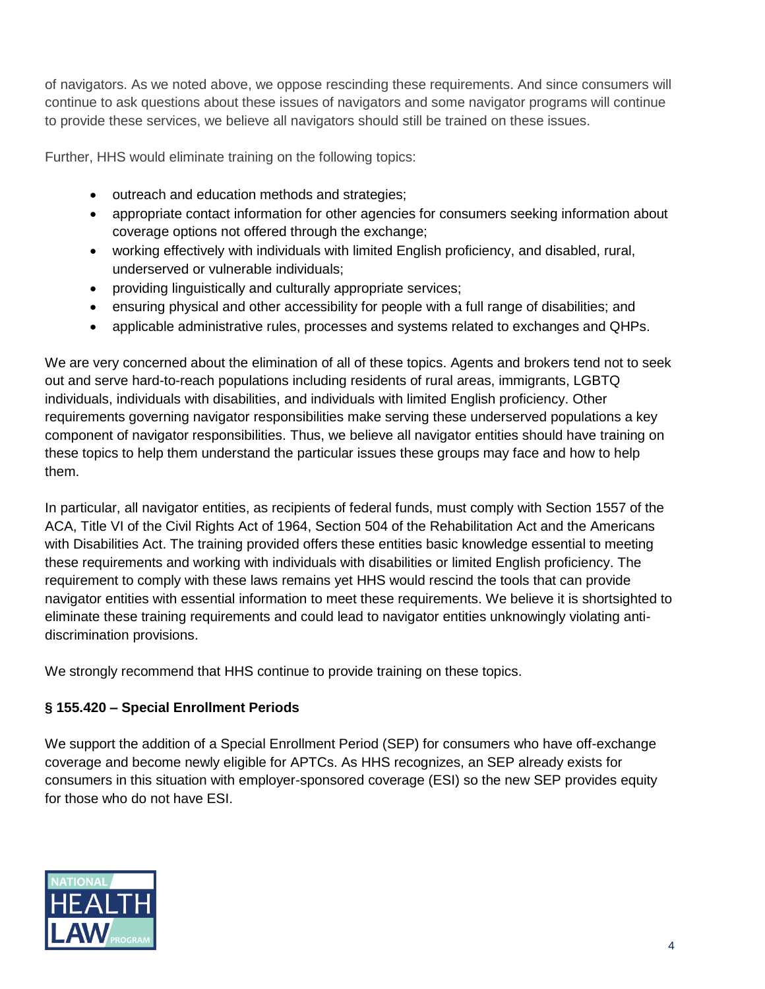of navigators. As we noted above, we oppose rescinding these requirements. And since consumers will continue to ask questions about these issues of navigators and some navigator programs will continue to provide these services, we believe all navigators should still be trained on these issues.

Further, HHS would eliminate training on the following topics:

- outreach and education methods and strategies;
- appropriate contact information for other agencies for consumers seeking information about coverage options not offered through the exchange;
- working effectively with individuals with limited English proficiency, and disabled, rural, underserved or vulnerable individuals;
- providing linguistically and culturally appropriate services;
- ensuring physical and other accessibility for people with a full range of disabilities; and
- applicable administrative rules, processes and systems related to exchanges and QHPs.

We are very concerned about the elimination of all of these topics. Agents and brokers tend not to seek out and serve hard-to-reach populations including residents of rural areas, immigrants, LGBTQ individuals, individuals with disabilities, and individuals with limited English proficiency. Other requirements governing navigator responsibilities make serving these underserved populations a key component of navigator responsibilities. Thus, we believe all navigator entities should have training on these topics to help them understand the particular issues these groups may face and how to help them.

In particular, all navigator entities, as recipients of federal funds, must comply with Section 1557 of the ACA, Title VI of the Civil Rights Act of 1964, Section 504 of the Rehabilitation Act and the Americans with Disabilities Act. The training provided offers these entities basic knowledge essential to meeting these requirements and working with individuals with disabilities or limited English proficiency. The requirement to comply with these laws remains yet HHS would rescind the tools that can provide navigator entities with essential information to meet these requirements. We believe it is shortsighted to eliminate these training requirements and could lead to navigator entities unknowingly violating antidiscrimination provisions.

We strongly recommend that HHS continue to provide training on these topics.

# **§ 155.420 – Special Enrollment Periods**

We support the addition of a Special Enrollment Period (SEP) for consumers who have off-exchange coverage and become newly eligible for APTCs. As HHS recognizes, an SEP already exists for consumers in this situation with employer-sponsored coverage (ESI) so the new SEP provides equity for those who do not have ESI.

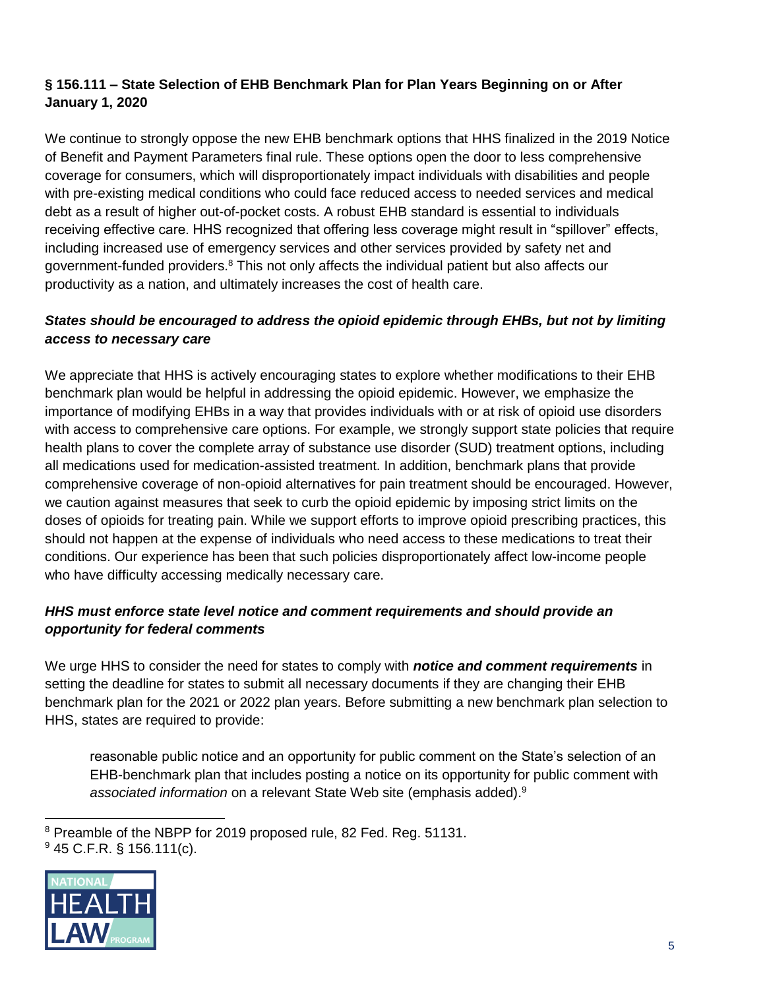# **§ 156.111 – State Selection of EHB Benchmark Plan for Plan Years Beginning on or After January 1, 2020**

We continue to strongly oppose the new EHB benchmark options that HHS finalized in the 2019 Notice of Benefit and Payment Parameters final rule. These options open the door to less comprehensive coverage for consumers, which will disproportionately impact individuals with disabilities and people with pre-existing medical conditions who could face reduced access to needed services and medical debt as a result of higher out-of-pocket costs. A robust EHB standard is essential to individuals receiving effective care. HHS recognized that offering less coverage might result in "spillover" effects, including increased use of emergency services and other services provided by safety net and government-funded providers.<sup>8</sup> This not only affects the individual patient but also affects our productivity as a nation, and ultimately increases the cost of health care.

# *States should be encouraged to address the opioid epidemic through EHBs, but not by limiting access to necessary care*

We appreciate that HHS is actively encouraging states to explore whether modifications to their EHB benchmark plan would be helpful in addressing the opioid epidemic. However, we emphasize the importance of modifying EHBs in a way that provides individuals with or at risk of opioid use disorders with access to comprehensive care options. For example, we strongly support state policies that require health plans to cover the complete array of substance use disorder (SUD) treatment options, including all medications used for medication-assisted treatment. In addition, benchmark plans that provide comprehensive coverage of non-opioid alternatives for pain treatment should be encouraged. However, we caution against measures that seek to curb the opioid epidemic by imposing strict limits on the doses of opioids for treating pain. While we support efforts to improve opioid prescribing practices, this should not happen at the expense of individuals who need access to these medications to treat their conditions. Our experience has been that such policies disproportionately affect low-income people who have difficulty accessing medically necessary care.

## *HHS must enforce state level notice and comment requirements and should provide an opportunity for federal comments*

We urge HHS to consider the need for states to comply with *notice and comment requirements* in setting the deadline for states to submit all necessary documents if they are changing their EHB benchmark plan for the 2021 or 2022 plan years. Before submitting a new benchmark plan selection to HHS, states are required to provide:

reasonable public notice and an opportunity for public comment on the State's selection of an EHB-benchmark plan that includes posting a notice on its opportunity for public comment with *associated information* on a relevant State Web site (emphasis added).<sup>9</sup>

 $\overline{a}$ <sup>8</sup> Preamble of the NBPP for 2019 proposed rule, 82 Fed. Reg. 51131.  $945$  C.F.R. § 156.111(c).

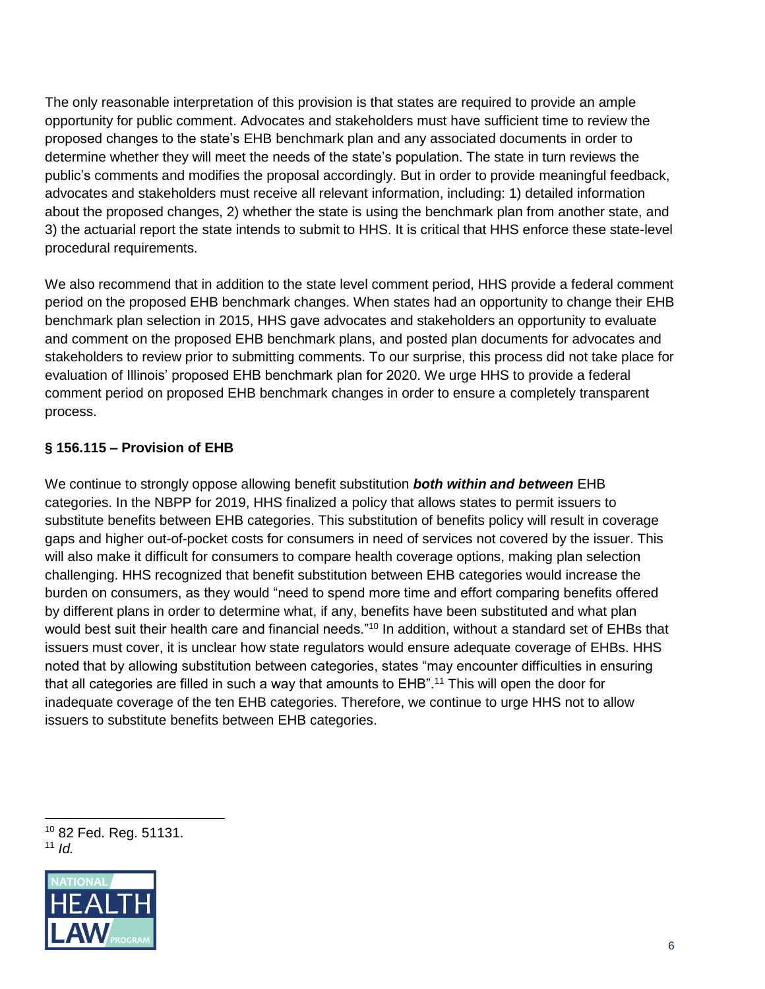The only reasonable interpretation of this provision is that states are required to provide an ample opportunity for public comment. Advocates and stakeholders must have sufficient time to review the proposed changes to the state's EHB benchmark plan and any associated documents in order to determine whether they will meet the needs of the state's population. The state in turn reviews the public's comments and modifies the proposal accordingly. But in order to provide meaningful feedback, advocates and stakeholders must receive all relevant information, including: 1) detailed information about the proposed changes, 2) whether the state is using the benchmark plan from another state, and 3) the actuarial report the state intends to submit to HHS. It is critical that HHS enforce these state-level procedural requirements.

We also recommend that in addition to the state level comment period, HHS provide a federal comment period on the proposed EHB benchmark changes. When states had an opportunity to change their EHB benchmark plan selection in 2015, HHS gave advocates and stakeholders an opportunity to evaluate and comment on the proposed EHB benchmark plans, and posted plan documents for advocates and stakeholders to review prior to submitting comments. To our surprise, this process did not take place for evaluation of Illinois' proposed EHB benchmark plan for 2020. We urge HHS to provide a federal comment period on proposed EHB benchmark changes in order to ensure a completely transparent process.

# **§ 156.115 – Provision of EHB**

We continue to strongly oppose allowing benefit substitution *both within and between* EHB categories. In the NBPP for 2019, HHS finalized a policy that allows states to permit issuers to substitute benefits between EHB categories. This substitution of benefits policy will result in coverage gaps and higher out-of-pocket costs for consumers in need of services not covered by the issuer. This will also make it difficult for consumers to compare health coverage options, making plan selection challenging. HHS recognized that benefit substitution between EHB categories would increase the burden on consumers, as they would "need to spend more time and effort comparing benefits offered by different plans in order to determine what, if any, benefits have been substituted and what plan would best suit their health care and financial needs."<sup>10</sup> In addition, without a standard set of EHBs that issuers must cover, it is unclear how state regulators would ensure adequate coverage of EHBs. HHS noted that by allowing substitution between categories, states "may encounter difficulties in ensuring that all categories are filled in such a way that amounts to EHB".<sup>11</sup> This will open the door for inadequate coverage of the ten EHB categories. Therefore, we continue to urge HHS not to allow issuers to substitute benefits between EHB categories.

<sup>10</sup> 82 Fed. Reg. 51131. 11  $Id$ 



 $\overline{a}$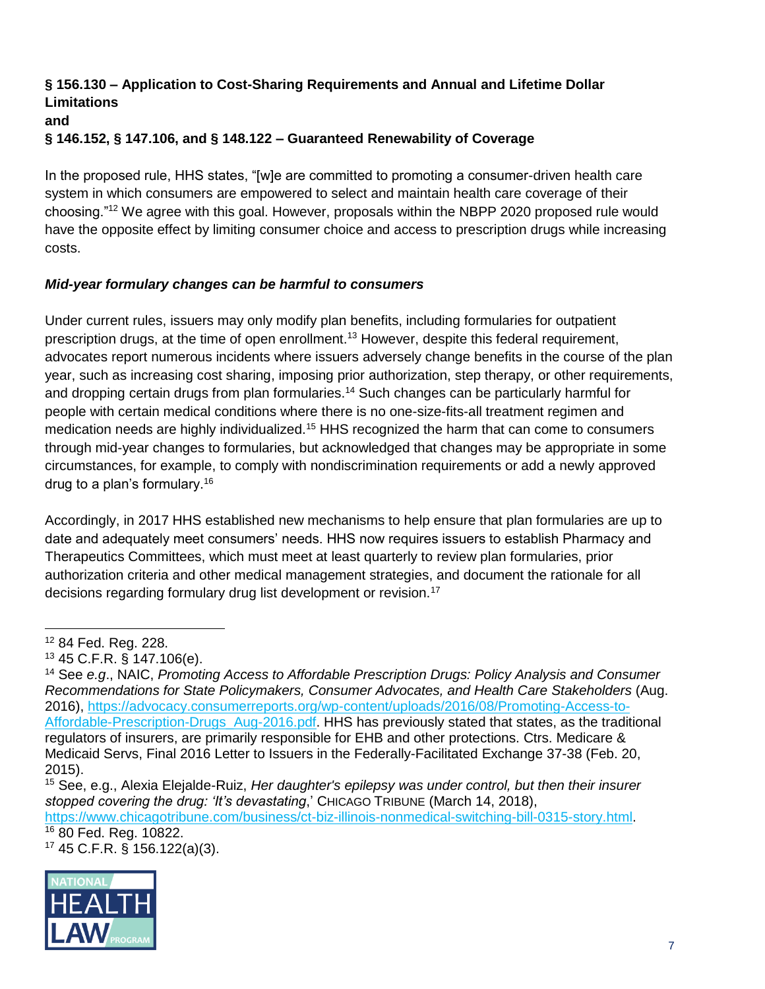#### **§ 156.130 – Application to Cost-Sharing Requirements and Annual and Lifetime Dollar Limitations and**

# **§ 146.152, § 147.106, and § 148.122 – Guaranteed Renewability of Coverage**

In the proposed rule, HHS states, "[w]e are committed to promoting a consumer-driven health care system in which consumers are empowered to select and maintain health care coverage of their choosing."<sup>12</sup> We agree with this goal. However, proposals within the NBPP 2020 proposed rule would have the opposite effect by limiting consumer choice and access to prescription drugs while increasing costs.

## *Mid-year formulary changes can be harmful to consumers*

Under current rules, issuers may only modify plan benefits, including formularies for outpatient prescription drugs, at the time of open enrollment.<sup>13</sup> However, despite this federal requirement, advocates report numerous incidents where issuers adversely change benefits in the course of the plan year, such as increasing cost sharing, imposing prior authorization, step therapy, or other requirements, and dropping certain drugs from plan formularies.<sup>14</sup> Such changes can be particularly harmful for people with certain medical conditions where there is no one-size-fits-all treatment regimen and medication needs are highly individualized.<sup>15</sup> HHS recognized the harm that can come to consumers through mid-year changes to formularies, but acknowledged that changes may be appropriate in some circumstances, for example, to comply with nondiscrimination requirements or add a newly approved drug to a plan's formulary.<sup>16</sup>

Accordingly, in 2017 HHS established new mechanisms to help ensure that plan formularies are up to date and adequately meet consumers' needs. HHS now requires issuers to establish Pharmacy and Therapeutics Committees, which must meet at least quarterly to review plan formularies, prior authorization criteria and other medical management strategies, and document the rationale for all decisions regarding formulary drug list development or revision.<sup>17</sup>

<sup>17</sup> 45 C.F.R. § 156.122(a)(3).



<sup>12</sup> 84 Fed. Reg. 228.

<sup>13</sup> 45 C.F.R. § 147.106(e).

<sup>14</sup> See *e.g*., NAIC, *Promoting Access to Affordable Prescription Drugs: Policy Analysis and Consumer Recommendations for State Policymakers, Consumer Advocates, and Health Care Stakeholders* (Aug. 2016), [https://advocacy.consumerreports.org/wp-content/uploads/2016/08/Promoting-Access-to-](https://advocacy.consumerreports.org/wp-content/uploads/2016/08/Promoting-Access-to-Affordable-Prescription-Drugs_Aug-2016.pdf)Affordable-Prescription-Drugs Aug-2016.pdf. HHS has previously stated that states, as the traditional regulators of insurers, are primarily responsible for EHB and other protections. Ctrs. Medicare & Medicaid Servs, Final 2016 Letter to Issuers in the Federally-Facilitated Exchange 37-38 (Feb. 20, 2015).

<sup>15</sup> See, e.g., Alexia Elejalde-Ruiz, *Her daughter's epilepsy was under control, but then their insurer stopped covering the drug: 'It's devastating*,' CHICAGO TRIBUNE (March 14, 2018),

https://www.chicagotribune.com/business/ct-biz-illinois-nonmedical-switching-bill-0315-story.html. <sup>16</sup> 80 Fed. Reg. 10822.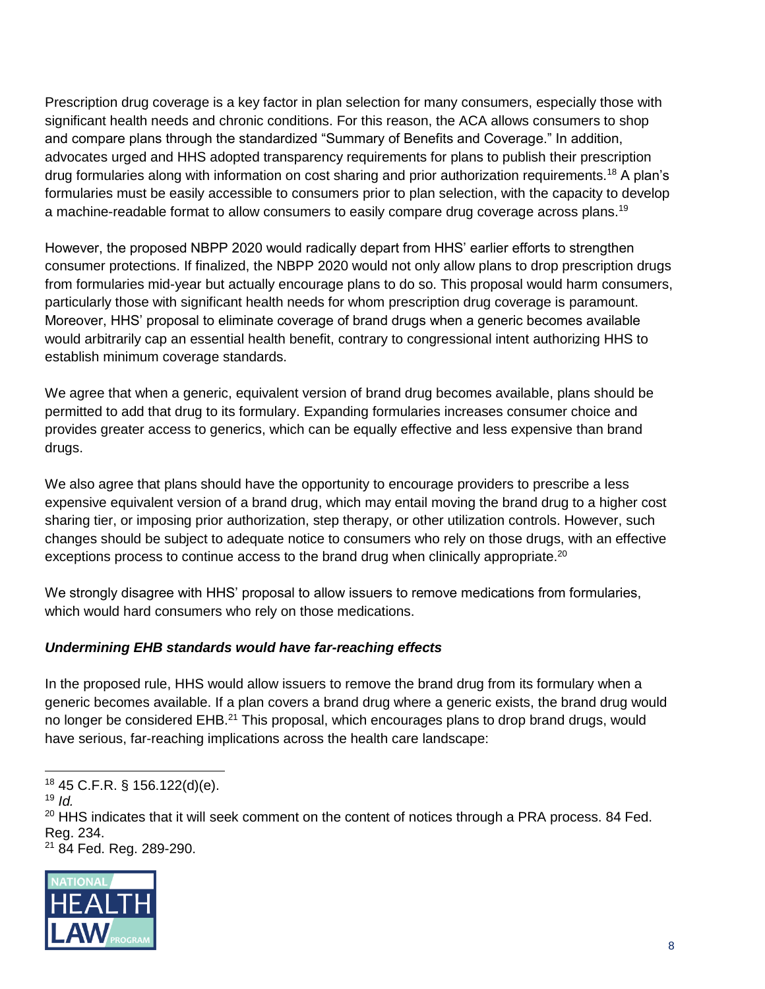Prescription drug coverage is a key factor in plan selection for many consumers, especially those with significant health needs and chronic conditions. For this reason, the ACA allows consumers to shop and compare plans through the standardized "Summary of Benefits and Coverage." In addition, advocates urged and HHS adopted transparency requirements for plans to publish their prescription drug formularies along with information on cost sharing and prior authorization requirements.<sup>18</sup> A plan's formularies must be easily accessible to consumers prior to plan selection, with the capacity to develop a machine-readable format to allow consumers to easily compare drug coverage across plans.<sup>19</sup>

However, the proposed NBPP 2020 would radically depart from HHS' earlier efforts to strengthen consumer protections. If finalized, the NBPP 2020 would not only allow plans to drop prescription drugs from formularies mid-year but actually encourage plans to do so. This proposal would harm consumers, particularly those with significant health needs for whom prescription drug coverage is paramount. Moreover, HHS' proposal to eliminate coverage of brand drugs when a generic becomes available would arbitrarily cap an essential health benefit, contrary to congressional intent authorizing HHS to establish minimum coverage standards.

We agree that when a generic, equivalent version of brand drug becomes available, plans should be permitted to add that drug to its formulary. Expanding formularies increases consumer choice and provides greater access to generics, which can be equally effective and less expensive than brand drugs.

We also agree that plans should have the opportunity to encourage providers to prescribe a less expensive equivalent version of a brand drug, which may entail moving the brand drug to a higher cost sharing tier, or imposing prior authorization, step therapy, or other utilization controls. However, such changes should be subject to adequate notice to consumers who rely on those drugs, with an effective exceptions process to continue access to the brand drug when clinically appropriate.<sup>20</sup>

We strongly disagree with HHS' proposal to allow issuers to remove medications from formularies, which would hard consumers who rely on those medications.

#### *Undermining EHB standards would have far-reaching effects*

In the proposed rule, HHS would allow issuers to remove the brand drug from its formulary when a generic becomes available. If a plan covers a brand drug where a generic exists, the brand drug would no longer be considered EHB.<sup>21</sup> This proposal, which encourages plans to drop brand drugs, would have serious, far-reaching implications across the health care landscape:

<sup>21</sup> 84 Fed. Reg. 289-290.



 $\overline{a}$ <sup>18</sup> 45 C.F.R. § 156.122(d)(e).

<sup>19</sup> *Id.*

 $20$  HHS indicates that it will seek comment on the content of notices through a PRA process. 84 Fed. Reg. 234.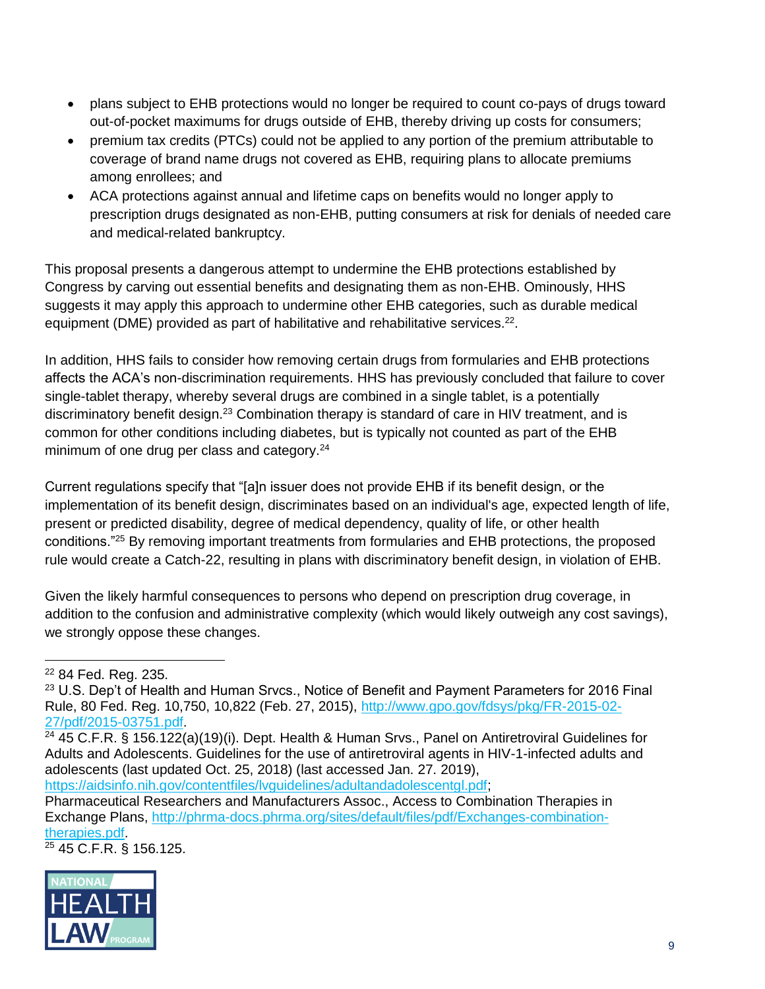- plans subject to EHB protections would no longer be required to count co-pays of drugs toward out-of-pocket maximums for drugs outside of EHB, thereby driving up costs for consumers;
- premium tax credits (PTCs) could not be applied to any portion of the premium attributable to coverage of brand name drugs not covered as EHB, requiring plans to allocate premiums among enrollees; and
- ACA protections against annual and lifetime caps on benefits would no longer apply to prescription drugs designated as non-EHB, putting consumers at risk for denials of needed care and medical-related bankruptcy.

This proposal presents a dangerous attempt to undermine the EHB protections established by Congress by carving out essential benefits and designating them as non-EHB. Ominously, HHS suggests it may apply this approach to undermine other EHB categories, such as durable medical equipment (DME) provided as part of habilitative and rehabilitative services. $22$ .

In addition, HHS fails to consider how removing certain drugs from formularies and EHB protections affects the ACA's non-discrimination requirements. HHS has previously concluded that failure to cover single-tablet therapy, whereby several drugs are combined in a single tablet, is a potentially discriminatory benefit design.<sup>23</sup> Combination therapy is standard of care in HIV treatment, and is common for other conditions including diabetes, but is typically not counted as part of the EHB minimum of one drug per class and category.<sup>24</sup>

Current regulations specify that "[a]n issuer does not provide EHB if its benefit design, or the implementation of its benefit design, discriminates based on an individual's age, expected length of life, present or predicted disability, degree of medical dependency, quality of life, or other health conditions."<sup>25</sup> By removing important treatments from formularies and EHB protections, the proposed rule would create a Catch-22, resulting in plans with discriminatory benefit design, in violation of EHB.

Given the likely harmful consequences to persons who depend on prescription drug coverage, in addition to the confusion and administrative complexity (which would likely outweigh any cost savings), we strongly oppose these changes.

[https://aidsinfo.nih.gov/contentfiles/lvguidelines/adultandadolescentgl.pdf;](https://aidsinfo.nih.gov/contentfiles/lvguidelines/adultandadolescentgl.pdf)

<sup>25</sup> 45 C.F.R. § 156.125.



 $\overline{a}$ <sup>22</sup> 84 Fed. Reg. 235.

<sup>&</sup>lt;sup>23</sup> U.S. Dep't of Health and Human Srvcs., Notice of Benefit and Payment Parameters for 2016 Final Rule, 80 Fed. Reg. 10,750, 10,822 (Feb. 27, 2015), [http://www.gpo.gov/fdsys/pkg/FR-2015-02-](http://www.gpo.gov/fdsys/pkg/FR-2015-02-27/pdf/2015-03751.pdf) [27/pdf/2015-03751.pdf.](http://www.gpo.gov/fdsys/pkg/FR-2015-02-27/pdf/2015-03751.pdf)

<sup>24</sup> 45 C.F.R. § 156.122(a)(19)(i). Dept. Health & Human Srvs., Panel on Antiretroviral Guidelines for Adults and Adolescents. Guidelines for the use of antiretroviral agents in HIV-1-infected adults and adolescents (last updated Oct. 25, 2018) (last accessed Jan. 27. 2019),

Pharmaceutical Researchers and Manufacturers Assoc., Access to Combination Therapies in Exchange Plans, [http://phrma-docs.phrma.org/sites/default/files/pdf/Exchanges-combination](http://phrma-docs.phrma.org/sites/default/files/pdf/Exchanges-combination-therapies.pdf)[therapies.pdf.](http://phrma-docs.phrma.org/sites/default/files/pdf/Exchanges-combination-therapies.pdf)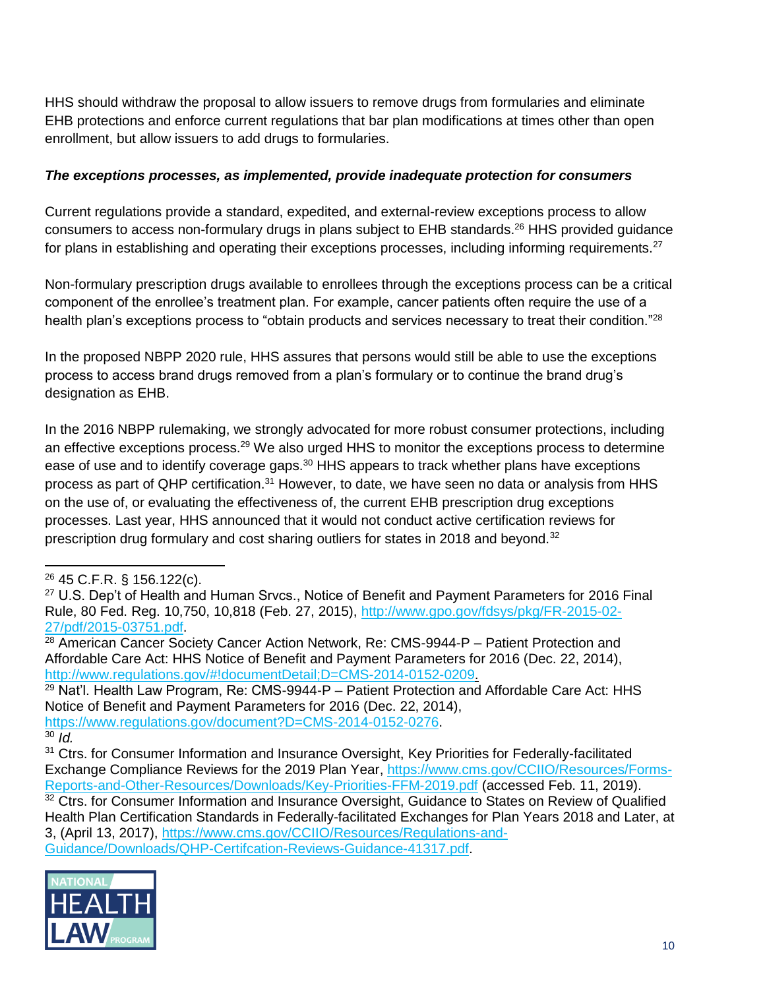HHS should withdraw the proposal to allow issuers to remove drugs from formularies and eliminate EHB protections and enforce current regulations that bar plan modifications at times other than open enrollment, but allow issuers to add drugs to formularies.

#### *The exceptions processes, as implemented, provide inadequate protection for consumers*

Current regulations provide a standard, expedited, and external-review exceptions process to allow consumers to access non-formulary drugs in plans subject to EHB standards.<sup>26</sup> HHS provided guidance for plans in establishing and operating their exceptions processes, including informing requirements. $27$ 

Non-formulary prescription drugs available to enrollees through the exceptions process can be a critical component of the enrollee's treatment plan. For example, cancer patients often require the use of a health plan's exceptions process to "obtain products and services necessary to treat their condition."<sup>28</sup>

In the proposed NBPP 2020 rule, HHS assures that persons would still be able to use the exceptions process to access brand drugs removed from a plan's formulary or to continue the brand drug's designation as EHB.

In the 2016 NBPP rulemaking, we strongly advocated for more robust consumer protections, including an effective exceptions process.<sup>29</sup> We also urged HHS to monitor the exceptions process to determine ease of use and to identify coverage gaps.<sup>30</sup> HHS appears to track whether plans have exceptions process as part of QHP certification.<sup>31</sup> However, to date, we have seen no data or analysis from HHS on the use of, or evaluating the effectiveness of, the current EHB prescription drug exceptions processes. Last year, HHS announced that it would not conduct active certification reviews for prescription drug formulary and cost sharing outliers for states in 2018 and beyond.<sup>32</sup>

 $29$  Nat'l. Health Law Program, Re: CMS-9944-P – Patient Protection and Affordable Care Act: HHS Notice of Benefit and Payment Parameters for 2016 (Dec. 22, 2014), [https://www.regulations.gov/document?D=CMS-2014-0152-0276.](https://www.regulations.gov/document?D=CMS-2014-0152-0276)

 $30$  *Id.* 

<sup>&</sup>lt;sup>31</sup> Ctrs. for Consumer Information and Insurance Oversight, Key Priorities for Federally-facilitated Exchange Compliance Reviews for the 2019 Plan Year, [https://www.cms.gov/CCIIO/Resources/Forms-](https://www.cms.gov/CCIIO/Resources/Forms-Reports-and-Other-Resources/Downloads/Key-Priorities-FFM-2019.pdf)[Reports-and-Other-Resources/Downloads/Key-Priorities-FFM-2019.pdf](https://www.cms.gov/CCIIO/Resources/Forms-Reports-and-Other-Resources/Downloads/Key-Priorities-FFM-2019.pdf) (accessed Feb. 11, 2019). 32 Ctrs. for Consumer Information and Insurance Oversight, Guidance to States on Review of Qualified Health Plan Certification Standards in Federally-facilitated Exchanges for Plan Years 2018 and Later, at 3, (April 13, 2017), [https://www.cms.gov/CCIIO/Resources/Regulations-and-](https://www.cms.gov/CCIIO/Resources/Regulations-and-Guidance/Downloads/QHP-Certifcation-Reviews-Guidance-41317.pdf)[Guidance/Downloads/QHP-Certifcation-Reviews-Guidance-41317.pdf.](https://www.cms.gov/CCIIO/Resources/Regulations-and-Guidance/Downloads/QHP-Certifcation-Reviews-Guidance-41317.pdf)



<sup>26</sup> 45 C.F.R. § 156.122(c).

<sup>&</sup>lt;sup>27</sup> U.S. Dep't of Health and Human Srvcs., Notice of Benefit and Payment Parameters for 2016 Final Rule, 80 Fed. Reg. 10,750, 10,818 (Feb. 27, 2015), [http://www.gpo.gov/fdsys/pkg/FR-2015-02-](http://www.gpo.gov/fdsys/pkg/FR-2015-02-27/pdf/2015-03751.pdf) [27/pdf/2015-03751.pdf.](http://www.gpo.gov/fdsys/pkg/FR-2015-02-27/pdf/2015-03751.pdf)

 $28$  American Cancer Society Cancer Action Network, Re: CMS-9944-P – Patient Protection and Affordable Care Act: HHS Notice of Benefit and Payment Parameters for 2016 (Dec. 22, 2014), [http://www.regulations.gov/#!documentDetail;D=CMS-2014-0152-0209.](http://www.regulations.gov/#!documentDetail;D=CMS-2014-0152-0209)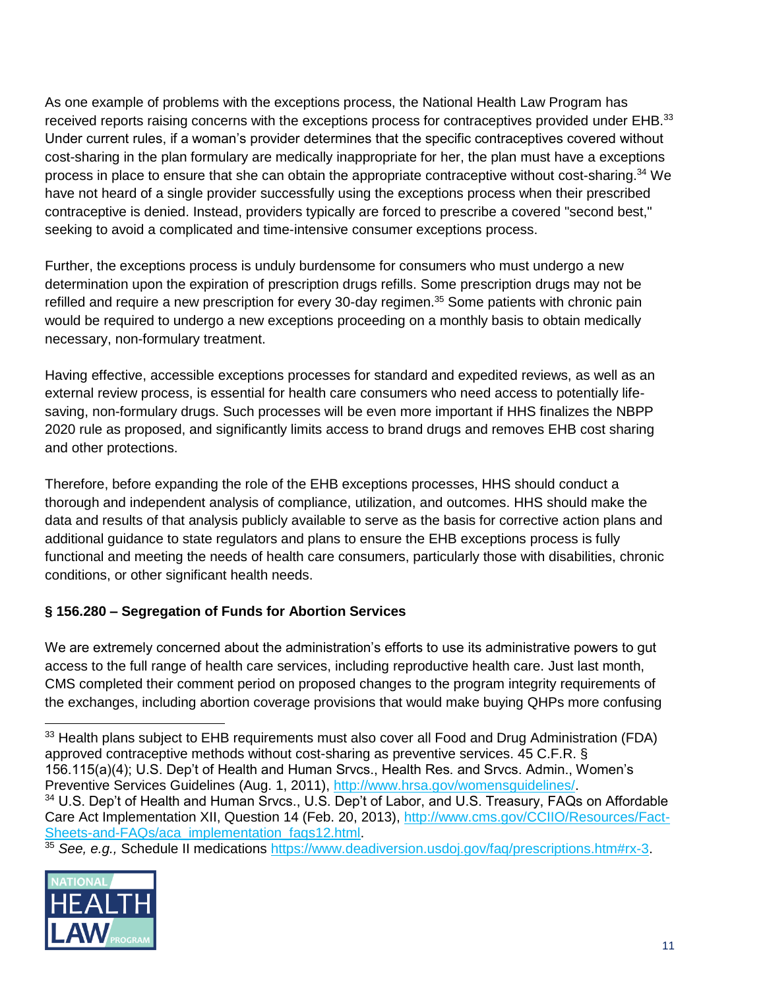As one example of problems with the exceptions process, the National Health Law Program has received reports raising concerns with the exceptions process for contraceptives provided under EHB.<sup>33</sup> Under current rules, if a woman's provider determines that the specific contraceptives covered without cost-sharing in the plan formulary are medically inappropriate for her, the plan must have a exceptions process in place to ensure that she can obtain the appropriate contraceptive without cost-sharing.<sup>34</sup> We have not heard of a single provider successfully using the exceptions process when their prescribed contraceptive is denied. Instead, providers typically are forced to prescribe a covered "second best," seeking to avoid a complicated and time-intensive consumer exceptions process.

Further, the exceptions process is unduly burdensome for consumers who must undergo a new determination upon the expiration of prescription drugs refills. Some prescription drugs may not be refilled and require a new prescription for every 30-day regimen.<sup>35</sup> Some patients with chronic pain would be required to undergo a new exceptions proceeding on a monthly basis to obtain medically necessary, non-formulary treatment.

Having effective, accessible exceptions processes for standard and expedited reviews, as well as an external review process, is essential for health care consumers who need access to potentially lifesaving, non-formulary drugs. Such processes will be even more important if HHS finalizes the NBPP 2020 rule as proposed, and significantly limits access to brand drugs and removes EHB cost sharing and other protections.

Therefore, before expanding the role of the EHB exceptions processes, HHS should conduct a thorough and independent analysis of compliance, utilization, and outcomes. HHS should make the data and results of that analysis publicly available to serve as the basis for corrective action plans and additional guidance to state regulators and plans to ensure the EHB exceptions process is fully functional and meeting the needs of health care consumers, particularly those with disabilities, chronic conditions, or other significant health needs.

# **§ 156.280 – Segregation of Funds for Abortion Services**

We are extremely concerned about the administration's efforts to use its administrative powers to gut access to the full range of health care services, including reproductive health care. Just last month, CMS completed their comment period on proposed changes to the program integrity requirements of the exchanges, including abortion coverage provisions that would make buying QHPs more confusing

<sup>35</sup> *See, e.g.,* Schedule II medications [https://www.deadiversion.usdoj.gov/faq/prescriptions.htm#rx-3.](https://www.deadiversion.usdoj.gov/faq/prescriptions.htm#rx-3)



 <sup>33</sup> Health plans subject to EHB requirements must also cover all Food and Drug Administration (FDA) approved contraceptive methods without cost-sharing as preventive services. 45 C.F.R. § 156.115(a)(4); U.S. Dep't of Health and Human Srvcs., Health Res. and Srvcs. Admin., Women's Preventive Services Guidelines (Aug. 1, 2011), [http://www.hrsa.gov/womensguidelines/.](http://www.hrsa.gov/womensguidelines/) <sup>34</sup> U.S. Dep't of Health and Human Srvcs., U.S. Dep't of Labor, and U.S. Treasury, FAQs on Affordable Care Act Implementation XII, Question 14 (Feb. 20, 2013), [http://www.cms.gov/CCIIO/Resources/Fact-](http://www.cms.gov/CCIIO/Resources/Fact-Sheets-and-FAQs/aca_implementation_faqs12.html)Sheets-and-FAQs/aca\_implementation\_faqs12.html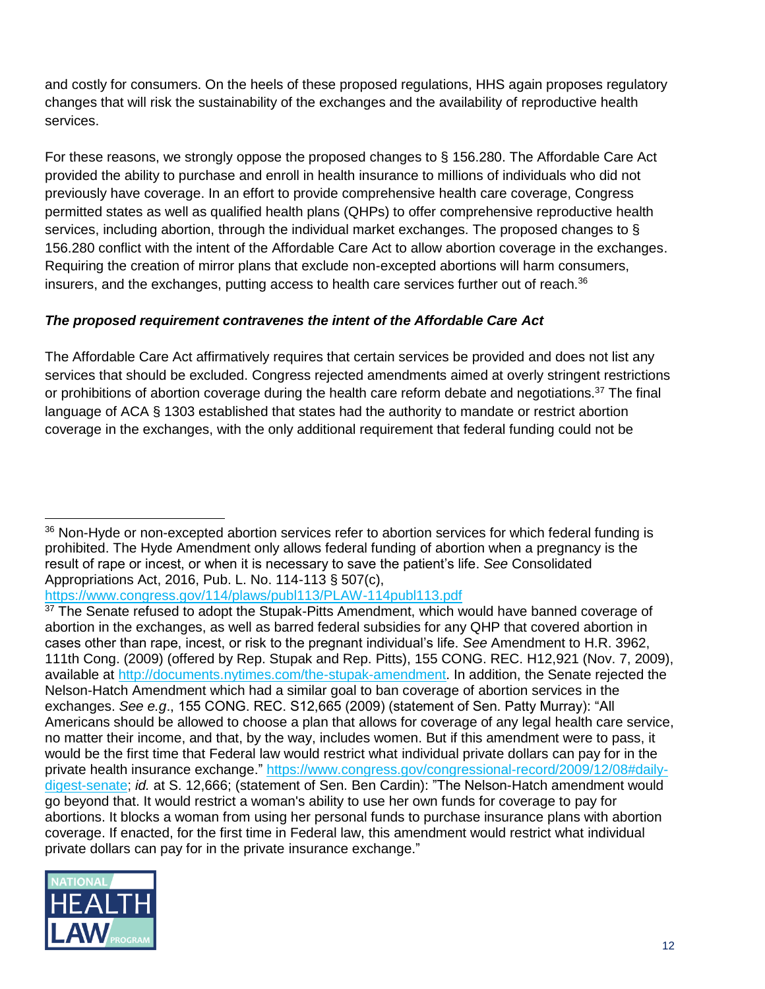and costly for consumers. On the heels of these proposed regulations, HHS again proposes regulatory changes that will risk the sustainability of the exchanges and the availability of reproductive health services.

For these reasons, we strongly oppose the proposed changes to § 156.280. The Affordable Care Act provided the ability to purchase and enroll in health insurance to millions of individuals who did not previously have coverage. In an effort to provide comprehensive health care coverage, Congress permitted states as well as qualified health plans (QHPs) to offer comprehensive reproductive health services, including abortion, through the individual market exchanges. The proposed changes to § 156.280 conflict with the intent of the Affordable Care Act to allow abortion coverage in the exchanges. Requiring the creation of mirror plans that exclude non-excepted abortions will harm consumers, insurers, and the exchanges, putting access to health care services further out of reach.<sup>36</sup>

## *The proposed requirement contravenes the intent of the Affordable Care Act*

The Affordable Care Act affirmatively requires that certain services be provided and does not list any services that should be excluded. Congress rejected amendments aimed at overly stringent restrictions or prohibitions of abortion coverage during the health care reform debate and negotiations.<sup>37</sup> The final language of ACA § 1303 established that states had the authority to mandate or restrict abortion coverage in the exchanges, with the only additional requirement that federal funding could not be

<https://www.congress.gov/114/plaws/publ113/PLAW-114publ113.pdf>

<sup>&</sup>lt;sup>37</sup> The Senate refused to adopt the Stupak-Pitts Amendment, which would have banned coverage of abortion in the exchanges, as well as barred federal subsidies for any QHP that covered abortion in cases other than rape, incest, or risk to the pregnant individual's life. *See* Amendment to H.R. 3962, 111th Cong. (2009) (offered by Rep. Stupak and Rep. Pitts), 155 CONG. REC. H12,921 (Nov. 7, 2009), available at [http://documents.nytimes.com/the-stupak-amendment.](http://documents.nytimes.com/the-stupak-amendment) In addition, the Senate rejected the Nelson-Hatch Amendment which had a similar goal to ban coverage of abortion services in the exchanges. *See e.g*., 155 CONG. REC. S12,665 (2009) (statement of Sen. Patty Murray): "All Americans should be allowed to choose a plan that allows for coverage of any legal health care service, no matter their income, and that, by the way, includes women. But if this amendment were to pass, it would be the first time that Federal law would restrict what individual private dollars can pay for in the private health insurance exchange." [https://www.congress.gov/congressional-record/2009/12/08#daily](https://www.congress.gov/congressional-record/2009/12/08#daily-digest-senate)[digest-senate;](https://www.congress.gov/congressional-record/2009/12/08#daily-digest-senate) *id.* at S. 12,666; (statement of Sen. Ben Cardin): "The Nelson-Hatch amendment would go beyond that. It would restrict a woman's ability to use her own funds for coverage to pay for abortions. It blocks a woman from using her personal funds to purchase insurance plans with abortion coverage. If enacted, for the first time in Federal law, this amendment would restrict what individual private dollars can pay for in the private insurance exchange."



 $\overline{a}$ <sup>36</sup> Non-Hyde or non-excepted abortion services refer to abortion services for which federal funding is prohibited. The Hyde Amendment only allows federal funding of abortion when a pregnancy is the result of rape or incest, or when it is necessary to save the patient's life. *See* Consolidated Appropriations Act, 2016, Pub. L. No. 114-113 § 507(c),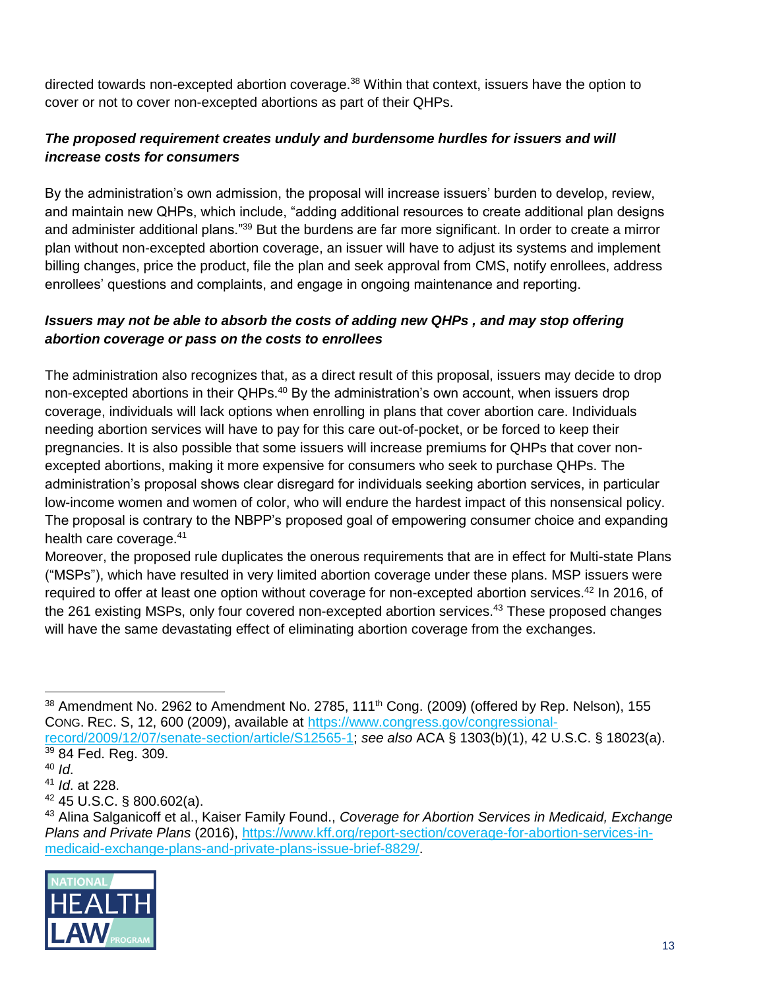directed towards non-excepted abortion coverage.<sup>38</sup> Within that context, issuers have the option to cover or not to cover non-excepted abortions as part of their QHPs.

# *The proposed requirement creates unduly and burdensome hurdles for issuers and will increase costs for consumers*

By the administration's own admission, the proposal will increase issuers' burden to develop, review, and maintain new QHPs, which include, "adding additional resources to create additional plan designs and administer additional plans."<sup>39</sup> But the burdens are far more significant. In order to create a mirror plan without non-excepted abortion coverage, an issuer will have to adjust its systems and implement billing changes, price the product, file the plan and seek approval from CMS, notify enrollees, address enrollees' questions and complaints, and engage in ongoing maintenance and reporting.

## *Issuers may not be able to absorb the costs of adding new QHPs , and may stop offering abortion coverage or pass on the costs to enrollees*

The administration also recognizes that, as a direct result of this proposal, issuers may decide to drop non-excepted abortions in their QHPs.<sup>40</sup> By the administration's own account, when issuers drop coverage, individuals will lack options when enrolling in plans that cover abortion care. Individuals needing abortion services will have to pay for this care out-of-pocket, or be forced to keep their pregnancies. It is also possible that some issuers will increase premiums for QHPs that cover nonexcepted abortions, making it more expensive for consumers who seek to purchase QHPs. The administration's proposal shows clear disregard for individuals seeking abortion services, in particular low-income women and women of color, who will endure the hardest impact of this nonsensical policy. The proposal is contrary to the NBPP's proposed goal of empowering consumer choice and expanding health care coverage.<sup>41</sup>

Moreover, the proposed rule duplicates the onerous requirements that are in effect for Multi-state Plans ("MSPs"), which have resulted in very limited abortion coverage under these plans. MSP issuers were required to offer at least one option without coverage for non-excepted abortion services.<sup>42</sup> In 2016, of the 261 existing MSPs, only four covered non-excepted abortion services.<sup>43</sup> These proposed changes will have the same devastating effect of eliminating abortion coverage from the exchanges.

<sup>43</sup> Alina Salganicoff et al., Kaiser Family Found., *Coverage for Abortion Services in Medicaid, Exchange Plans and Private Plans* (2016), [https://www.kff.org/report-section/coverage-for-abortion-services-in](https://www.kff.org/report-section/coverage-for-abortion-services-in-medicaid-exchange-plans-and-private-plans-issue-brief-8829/)[medicaid-exchange-plans-and-private-plans-issue-brief-8829/.](https://www.kff.org/report-section/coverage-for-abortion-services-in-medicaid-exchange-plans-and-private-plans-issue-brief-8829/)



 $38$  Amendment No. 2962 to Amendment No. 2785, 111<sup>th</sup> Cong. (2009) (offered by Rep. Nelson), 155 CONG. REC. S, 12, 600 (2009), available at [https://www.congress.gov/congressional](https://www.congress.gov/congressional-record/2009/12/07/senate-section/article/S12565-1)[record/2009/12/07/senate-section/article/S12565-1;](https://www.congress.gov/congressional-record/2009/12/07/senate-section/article/S12565-1) *see also* ACA § 1303(b)(1), 42 U.S.C. § 18023(a).

<sup>39</sup> 84 Fed. Reg. 309.

<sup>40</sup> *Id*.

<sup>41</sup> *Id*. at 228.

<sup>42</sup> 45 U.S.C. § 800.602(a).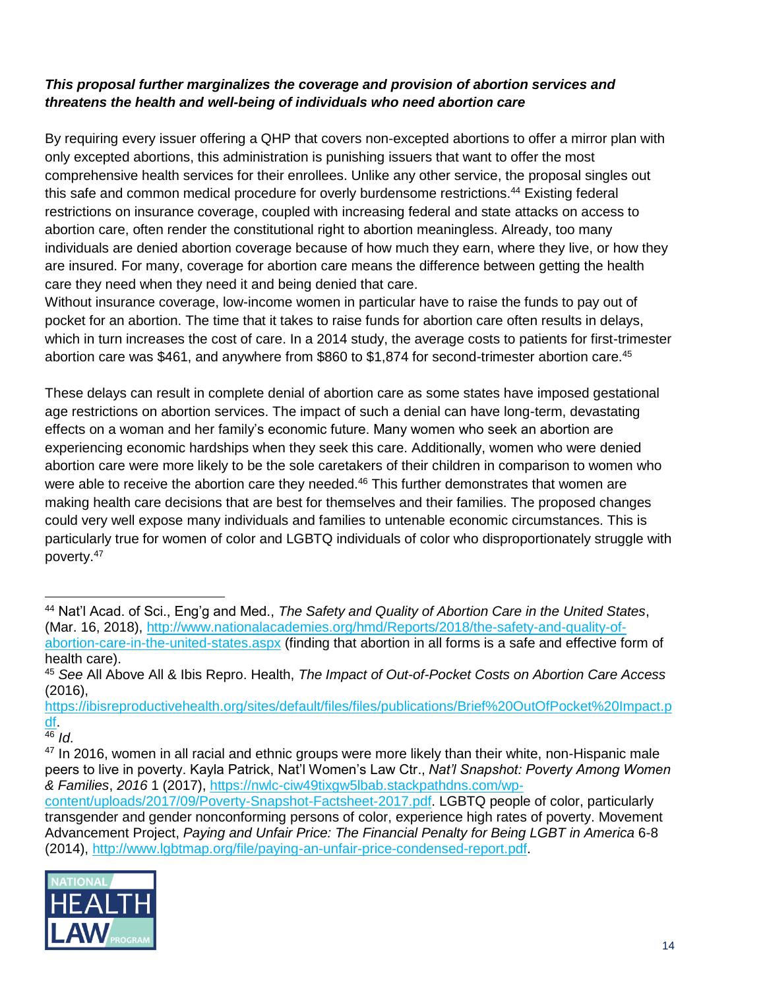# *This proposal further marginalizes the coverage and provision of abortion services and threatens the health and well-being of individuals who need abortion care*

By requiring every issuer offering a QHP that covers non-excepted abortions to offer a mirror plan with only excepted abortions, this administration is punishing issuers that want to offer the most comprehensive health services for their enrollees. Unlike any other service, the proposal singles out this safe and common medical procedure for overly burdensome restrictions.<sup>44</sup> Existing federal restrictions on insurance coverage, coupled with increasing federal and state attacks on access to abortion care, often render the constitutional right to abortion meaningless. Already, too many individuals are denied abortion coverage because of how much they earn, where they live, or how they are insured. For many, coverage for abortion care means the difference between getting the health care they need when they need it and being denied that care.

Without insurance coverage, low-income women in particular have to raise the funds to pay out of pocket for an abortion. The time that it takes to raise funds for abortion care often results in delays, which in turn increases the cost of care. In a 2014 study, the average costs to patients for first-trimester abortion care was \$461, and anywhere from \$860 to \$1,874 for second-trimester abortion care.<sup>45</sup>

These delays can result in complete denial of abortion care as some states have imposed gestational age restrictions on abortion services. The impact of such a denial can have long-term, devastating effects on a woman and her family's economic future. Many women who seek an abortion are experiencing economic hardships when they seek this care. Additionally, women who were denied abortion care were more likely to be the sole caretakers of their children in comparison to women who were able to receive the abortion care they needed.<sup>46</sup> This further demonstrates that women are making health care decisions that are best for themselves and their families. The proposed changes could very well expose many individuals and families to untenable economic circumstances. This is particularly true for women of color and LGBTQ individuals of color who disproportionately struggle with poverty.<sup>47</sup>

[https://ibisreproductivehealth.org/sites/default/files/files/publications/Brief%20OutOfPocket%20Impact.p](https://ibisreproductivehealth.org/sites/default/files/files/publications/Brief%20OutOfPocket%20Impact.pdf) [df.](https://ibisreproductivehealth.org/sites/default/files/files/publications/Brief%20OutOfPocket%20Impact.pdf)

<sup>46</sup> *Id*.

[content/uploads/2017/09/Poverty-Snapshot-Factsheet-2017.pdf.](https://nwlc-ciw49tixgw5lbab.stackpathdns.com/wp-content/uploads/2017/09/Poverty-Snapshot-Factsheet-2017.pdf) LGBTQ people of color, particularly transgender and gender nonconforming persons of color, experience high rates of poverty. Movement Advancement Project, *Paying and Unfair Price: The Financial Penalty for Being LGBT in America* 6-8 (2014), [http://www.lgbtmap.org/file/paying-an-unfair-price-condensed-report.pdf.](http://www.lgbtmap.org/file/paying-an-unfair-price-condensed-report.pdf)



<sup>44</sup> Nat'l Acad. of Sci., Eng'g and Med., *The Safety and Quality of Abortion Care in the United States*, (Mar. 16, 2018), [http://www.nationalacademies.org/hmd/Reports/2018/the-safety-and-quality-of](http://www.nationalacademies.org/hmd/Reports/2018/the-safety-and-quality-of-abortion-care-in-the-united-states.aspx)[abortion-care-in-the-united-states.aspx](http://www.nationalacademies.org/hmd/Reports/2018/the-safety-and-quality-of-abortion-care-in-the-united-states.aspx) (finding that abortion in all forms is a safe and effective form of health care).

<sup>45</sup> *See* All Above All & Ibis Repro. Health, *The Impact of Out-of-Pocket Costs on Abortion Care Access* (2016),

 $47$  In 2016, women in all racial and ethnic groups were more likely than their white, non-Hispanic male peers to live in poverty. Kayla Patrick, Nat'l Women's Law Ctr., *Nat'l Snapshot: Poverty Among Women & Families*, *2016* 1 (2017), [https://nwlc-ciw49tixgw5lbab.stackpathdns.com/wp-](https://nwlc-ciw49tixgw5lbab.stackpathdns.com/wp-content/uploads/2017/09/Poverty-Snapshot-Factsheet-2017.pdf)